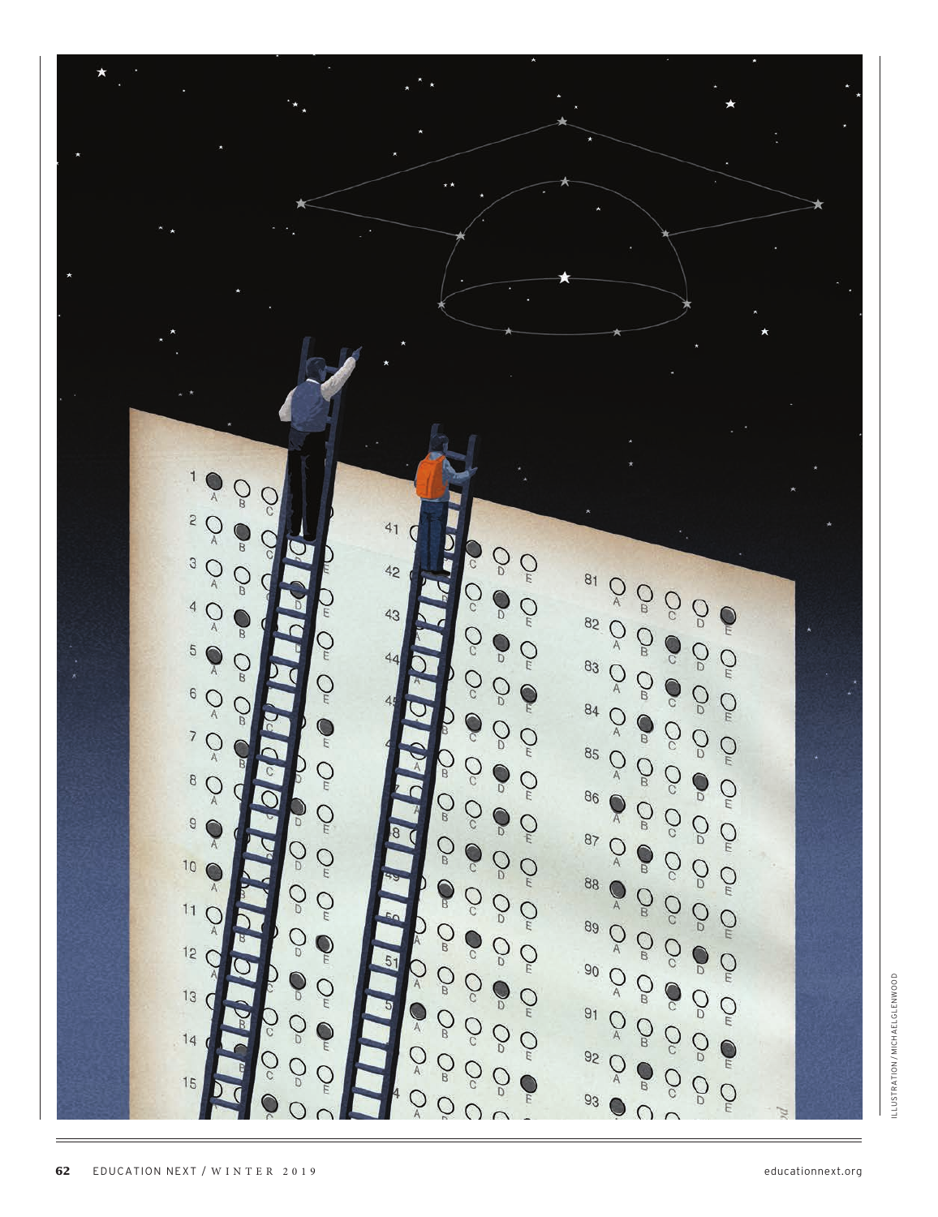

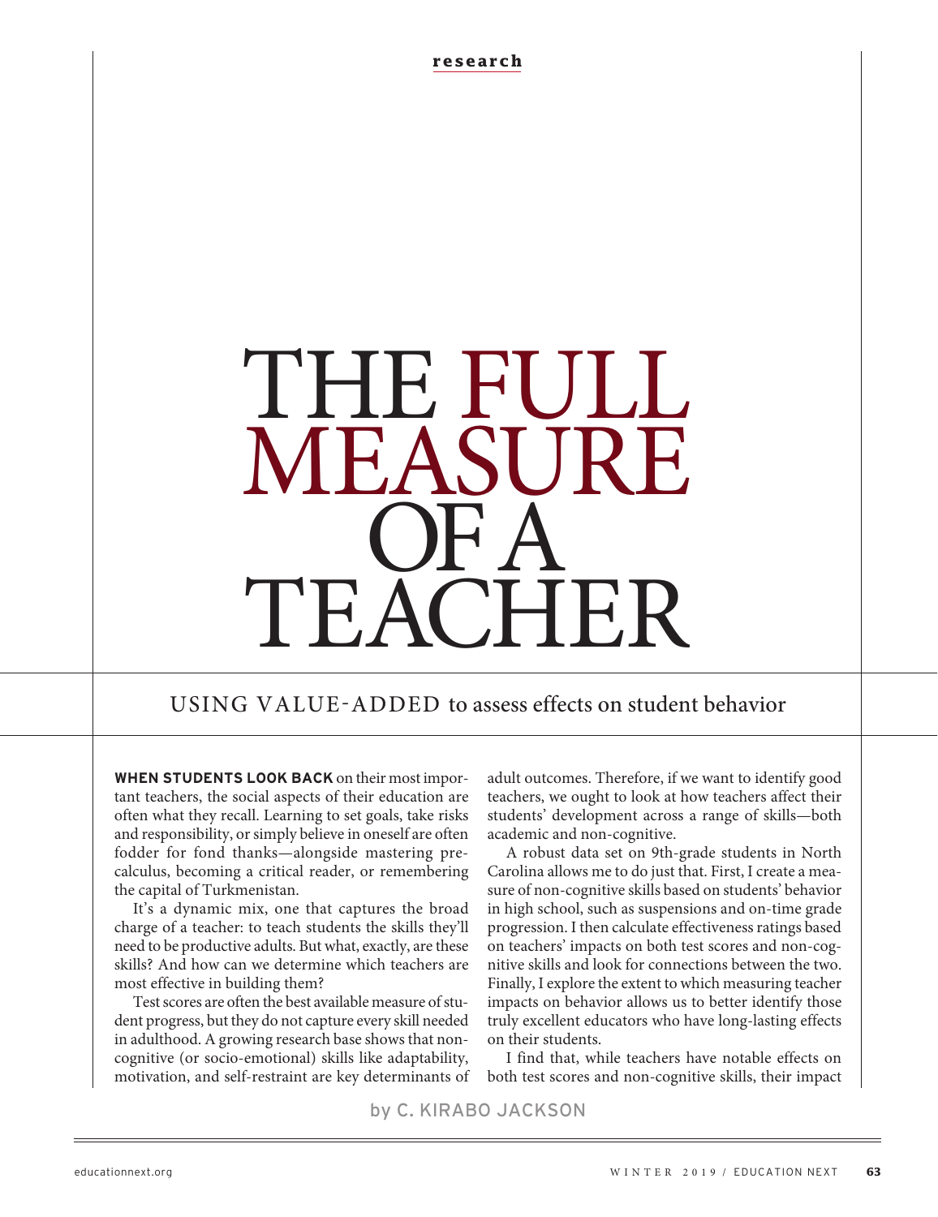**research**

# THE FULL **MEASURE** QFA, TEACHER

# USING VALUE-ADDED to assess effects on student behavior

**WHEN STUDENTS LOOK BACK** on their most important teachers, the social aspects of their education are often what they recall. Learning to set goals, take risks and responsibility, or simply believe in oneself are often fodder for fond thanks—alongside mastering precalculus, becoming a critical reader, or remembering the capital of Turkmenistan.

It's a dynamic mix, one that captures the broad charge of a teacher: to teach students the skills they'll need to be productive adults. But what, exactly, are these skills? And how can we determine which teachers are most effective in building them?

Test scores are often the best available measure of student progress, but they do not capture every skill needed in adulthood. A growing research base shows that noncognitive (or socio-emotional) skills like adaptability, motivation, and self-restraint are key determinants of

adult outcomes. Therefore, if we want to identify good teachers, we ought to look at how teachers affect their students' development across a range of skills—both academic and non-cognitive.

A robust data set on 9th-grade students in North Carolina allows me to do just that. First, I create a measure of non-cognitive skills based on students' behavior in high school, such as suspensions and on-time grade progression. I then calculate effectiveness ratings based on teachers' impacts on both test scores and non-cognitive skills and look for connections between the two. Finally, I explore the extent to which measuring teacher impacts on behavior allows us to better identify those truly excellent educators who have long-lasting effects on their students.

I find that, while teachers have notable effects on both test scores and non-cognitive skills, their impact

by C. KIRABO JACKSON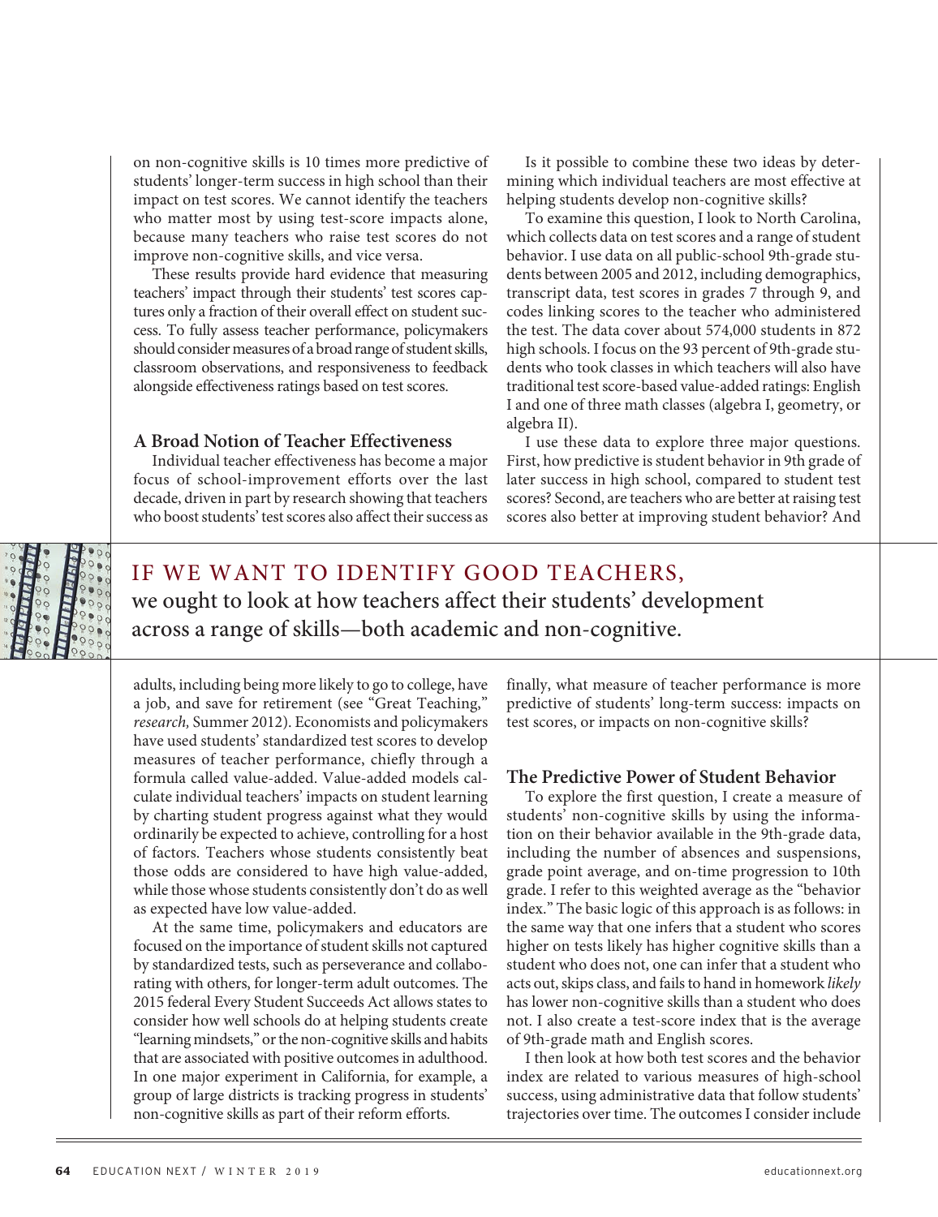on non-cognitive skills is 10 times more predictive of students' longer-term success in high school than their impact on test scores. We cannot identify the teachers who matter most by using test-score impacts alone, because many teachers who raise test scores do not improve non-cognitive skills, and vice versa.

These results provide hard evidence that measuring teachers' impact through their students' test scores captures only a fraction of their overall effect on student success. To fully assess teacher performance, policymakers should consider measures of a broad range of student skills, classroom observations, and responsiveness to feedback alongside effectiveness ratings based on test scores.

## **A Broad Notion of Teacher Effectiveness**

Individual teacher effectiveness has become a major focus of school-improvement efforts over the last decade, driven in part by research showing that teachers who boost students' test scores also affect their success as

Is it possible to combine these two ideas by determining which individual teachers are most effective at helping students develop non-cognitive skills?

To examine this question, I look to North Carolina, which collects data on test scores and a range of student behavior. I use data on all public-school 9th-grade students between 2005 and 2012, including demographics, transcript data, test scores in grades 7 through 9, and codes linking scores to the teacher who administered the test. The data cover about 574,000 students in 872 high schools. I focus on the 93 percent of 9th-grade students who took classes in which teachers will also have traditional test score-based value-added ratings: English I and one of three math classes (algebra I, geometry, or algebra II).

I use these data to explore three major questions. First, how predictive is student behavior in 9th grade of later success in high school, compared to student test scores? Second, are teachers who are better at raising test scores also better at improving student behavior? And



# IF WE WANT TO IDENTIFY GOOD TEACHERS, we ought to look at how teachers affect their students' development across a range of skills—both academic and non-cognitive.

adults, including being more likely to go to college, have a job, and save for retirement (see "Great Teaching," *research,* Summer 2012). Economists and policymakers have used students' standardized test scores to develop measures of teacher performance, chiefly through a formula called value-added. Value-added models calculate individual teachers' impacts on student learning by charting student progress against what they would ordinarily be expected to achieve, controlling for a host of factors. Teachers whose students consistently beat those odds are considered to have high value-added, while those whose students consistently don't do as well as expected have low value-added.

At the same time, policymakers and educators are focused on the importance of student skills not captured by standardized tests, such as perseverance and collaborating with others, for longer-term adult outcomes. The 2015 federal Every Student Succeeds Act allows states to consider how well schools do at helping students create "learning mindsets," or the non-cognitive skills and habits that are associated with positive outcomes in adulthood. In one major experiment in California, for example, a group of large districts is tracking progress in students' non-cognitive skills as part of their reform efforts.

finally, what measure of teacher performance is more predictive of students' long-term success: impacts on test scores, or impacts on non-cognitive skills?

## **The Predictive Power of Student Behavior**

To explore the first question, I create a measure of students' non-cognitive skills by using the information on their behavior available in the 9th-grade data, including the number of absences and suspensions, grade point average, and on-time progression to 10th grade. I refer to this weighted average as the "behavior index." The basic logic of this approach is as follows: in the same way that one infers that a student who scores higher on tests likely has higher cognitive skills than a student who does not, one can infer that a student who acts out, skips class, and fails to hand in homework *likely*  has lower non-cognitive skills than a student who does not. I also create a test-score index that is the average of 9th-grade math and English scores.

I then look at how both test scores and the behavior index are related to various measures of high-school success, using administrative data that follow students' trajectories over time. The outcomes I consider include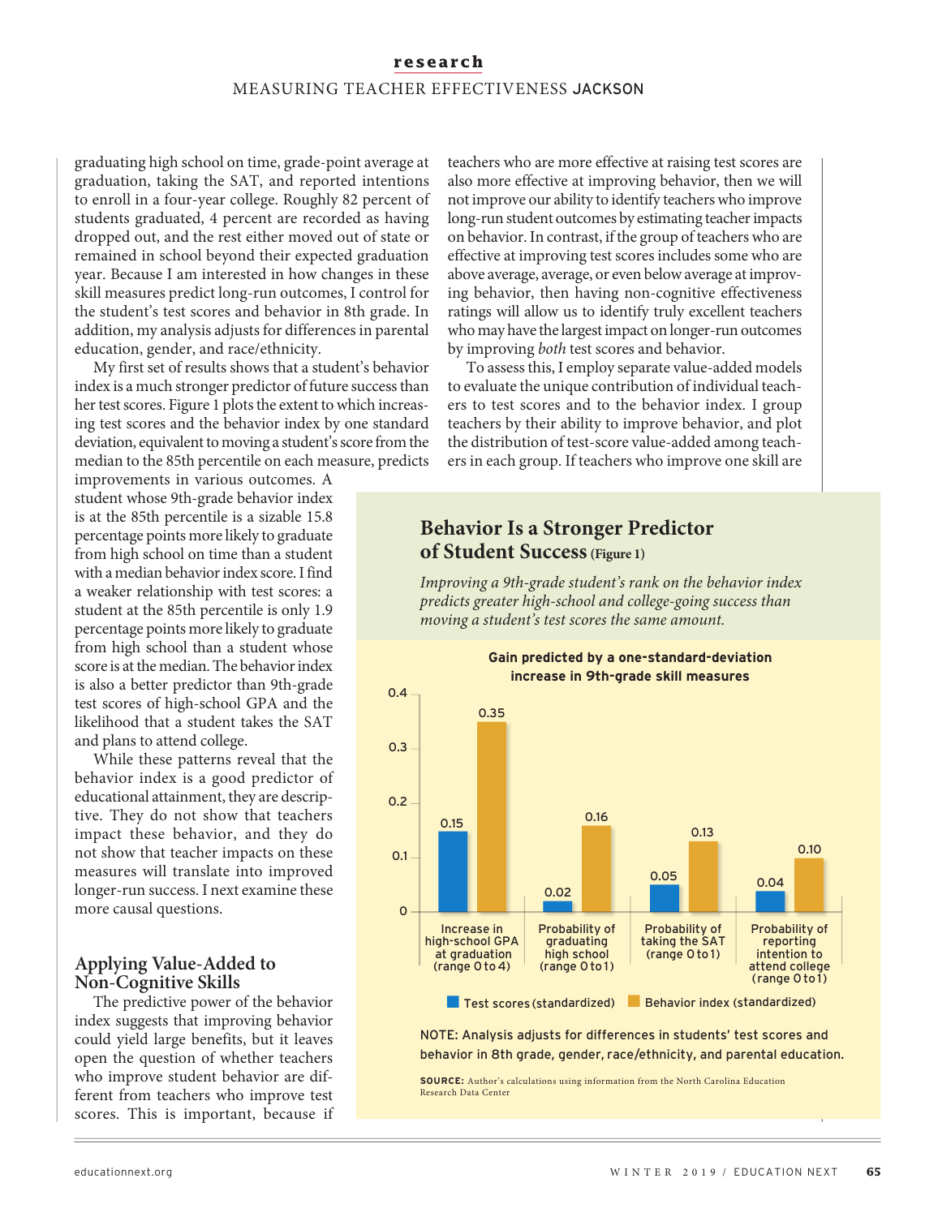## **research**

## MEASURING TEACHER EFFECTIVENESS JACKSON

graduating high school on time, grade-point average at graduation, taking the SAT, and reported intentions to enroll in a four-year college. Roughly 82 percent of students graduated, 4 percent are recorded as having dropped out, and the rest either moved out of state or remained in school beyond their expected graduation year. Because I am interested in how changes in these skill measures predict long-run outcomes, I control for the student's test scores and behavior in 8th grade. In addition, my analysis adjusts for differences in parental education, gender, and race/ethnicity.

My first set of results shows that a student's behavior index is a much stronger predictor of future success than her test scores. Figure 1 plots the extent to which increasing test scores and the behavior index by one standard deviation, equivalent to moving a student's score from the median to the 85th percentile on each measure, predicts

improvements in various outcomes. A student whose 9th-grade behavior index is at the 85th percentile is a sizable 15.8 percentage points more likely to graduate from high school on time than a student with a median behavior index score. I find a weaker relationship with test scores: a student at the 85th percentile is only 1.9 percentage points more likely to graduate from high school than a student whose score is at the median. The behavior index is also a better predictor than 9th-grade test scores of high-school GPA and the likelihood that a student takes the SAT and plans to attend college.

While these patterns reveal that the behavior index is a good predictor of educational attainment, they are descriptive. They do not show that teachers impact these behavior, and they do not show that teacher impacts on these measures will translate into improved longer-run success. I next examine these more causal questions.

## **Applying Value-Added to Non-Cognitive Skills**

The predictive power of the behavior index suggests that improving behavior could yield large benefits, but it leaves open the question of whether teachers who improve student behavior are different from teachers who improve test scores. This is important, because if

teachers who are more effective at raising test scores are also more effective at improving behavior, then we will not improve our ability to identify teachers who improve long-run student outcomes by estimating teacher impacts on behavior. In contrast, if the group of teachers who are effective at improving test scores includes some who are above average, average, or even below average at improving behavior, then having non-cognitive effectiveness ratings will allow us to identify truly excellent teachers who may have the largest impact on longer-run outcomes by improving *both* test scores and behavior.

To assess this, I employ separate value-added models to evaluate the unique contribution of individual teachers to test scores and to the behavior index. I group teachers by their ability to improve behavior, and plot the distribution of test-score value-added among teachers in each group. If teachers who improve one skill are

# **Behavior Is a Stronger Predictor of Student Success(Figure 1)**

*Improving a 9th-grade student's rank on the behavior index predicts greater high-school and college-going success than moving a student's test scores the same amount.*



NOTE: Analysis adjusts for differences in students' test scores and behavior in 8th grade, gender, race/ethnicity, and parental education.

**SOURCE:** Author's calculations using information from the North Carolina Education Research Data Center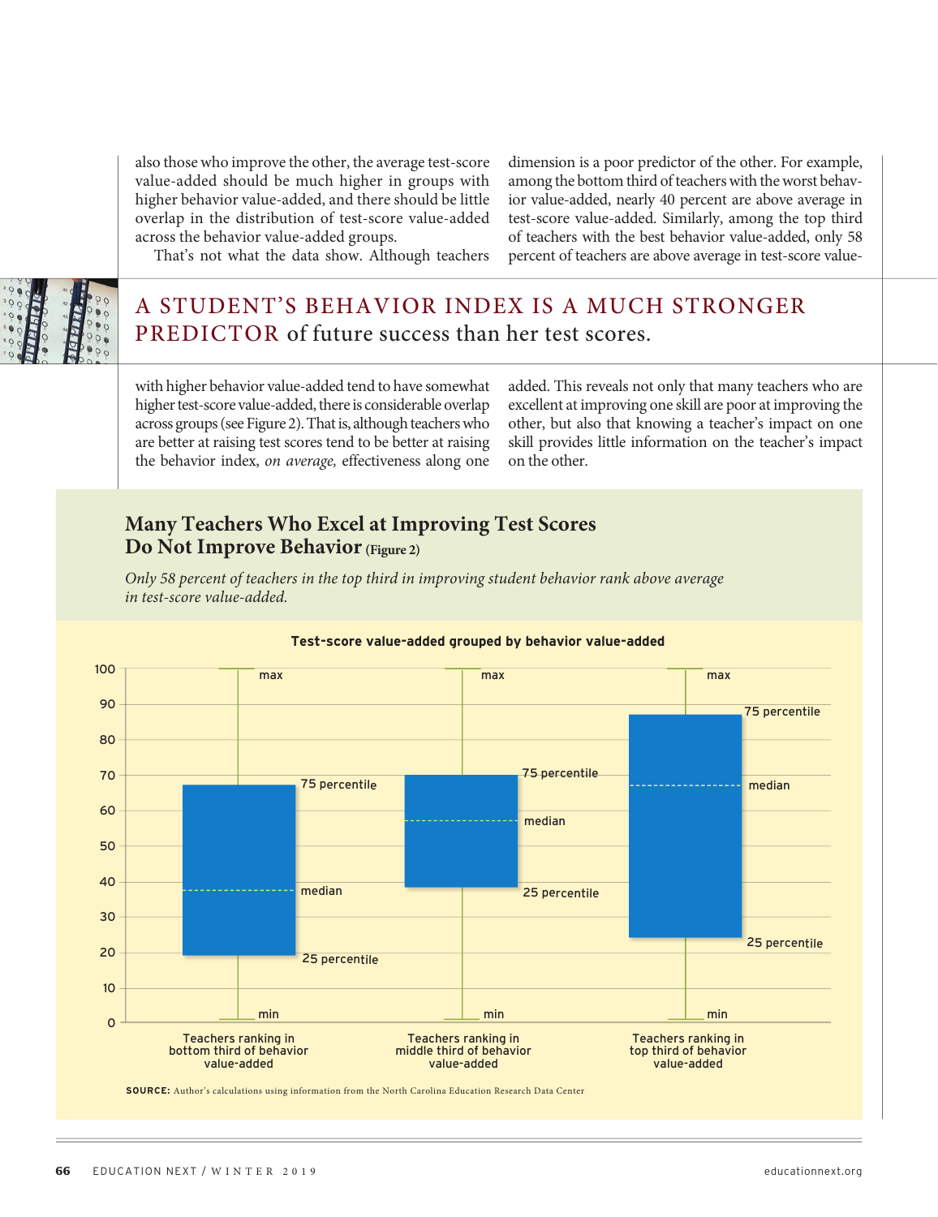also those who improve the other, the average test-score value-added should be much higher in groups with higher behavior value-added, and there should be little overlap in the distribution of test-score value-added across the behavior value-added groups.

dimension is a poor predictor of the other. For example, among the bottom third of teachers with the worst behavior value-added, nearly 40 percent are above average in test-score value-added. Similarly, among the top third of teachers with the best behavior value-added, only 58 percent of teachers are above average in test-score value-

That's not what the data show. Although teachers

# A STUDENT'S BEHAVIOR INDEX IS A MUCH STRONGER PREDICTOR of future success than her test scores.

with higher behavior value-added tend to have somewhat higher test-score value-added, there is considerable overlap across groups (see Figure 2). That is, although teachers who are better at raising test scores tend to be better at raising the behavior index, *on average,* effectiveness along one added. This reveals not only that many teachers who are excellent at improving one skill are poor at improving the other, but also that knowing a teacher's impact on one skill provides little information on the teacher's impact on the other.

# **Many Teachers Who Excel at Improving Test Scores Do Not Improve Behavior (Figure 2)**

*Only 58 percent of teachers in the top third in improving student behavior rank above average in test-score value-added.*



#### **Test-score value-added grouped by behavior value-added**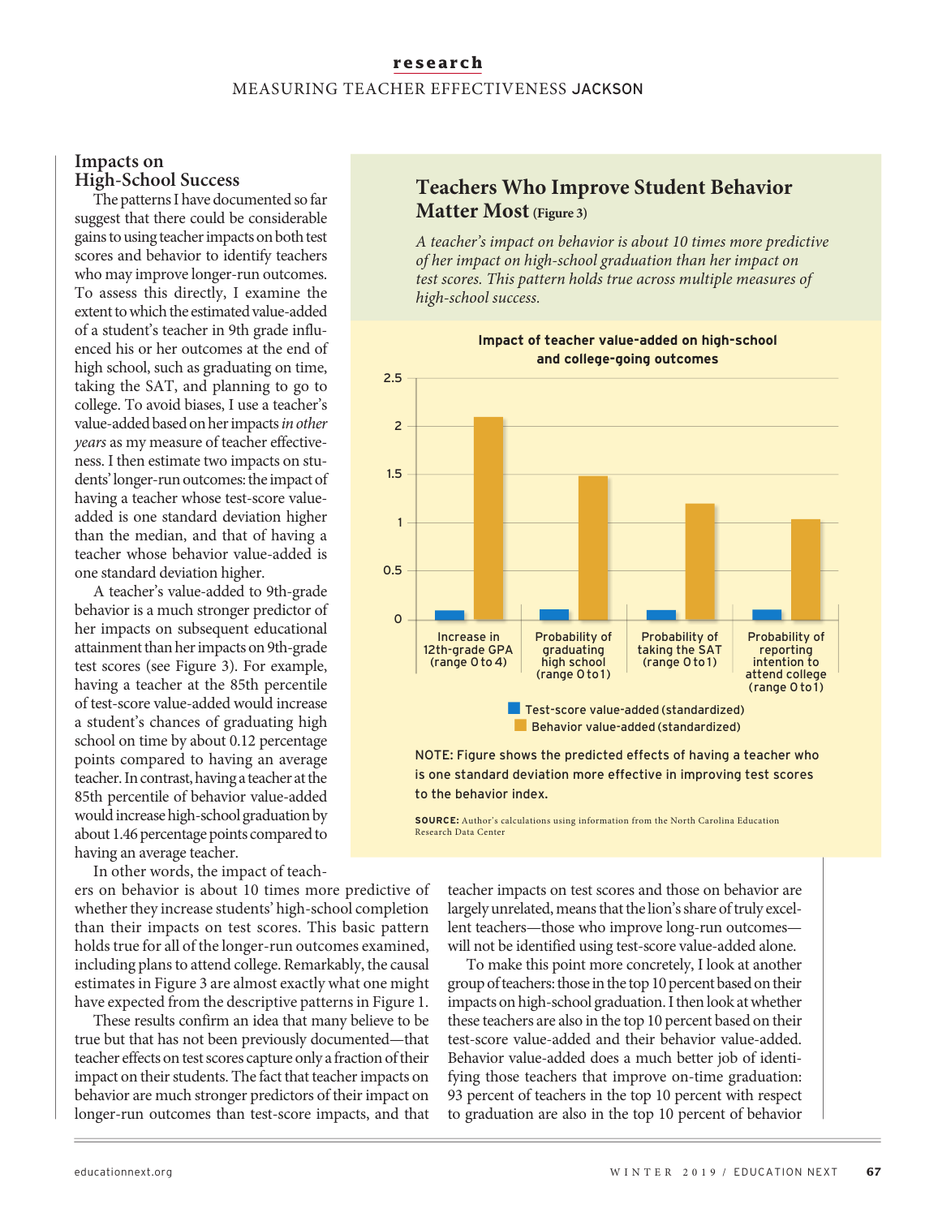## **research** MEASURING TEACHER EFFECTIVENESS JACKSON

## **Impacts on High-School Success**

The patterns I have documented so far suggest that there could be considerable gains to using teacher impacts on both test scores and behavior to identify teachers who may improve longer-run outcomes. To assess this directly, I examine the extent to which the estimated value-added of a student's teacher in 9th grade influenced his or her outcomes at the end of high school, such as graduating on time, taking the SAT, and planning to go to college. To avoid biases, I use a teacher's value-added based on her impacts *in other years* as my measure of teacher effectiveness. I then estimate two impacts on students' longer-run outcomes: the impact of having a teacher whose test-score valueadded is one standard deviation higher than the median, and that of having a teacher whose behavior value-added is one standard deviation higher.

A teacher's value-added to 9th-grade behavior is a much stronger predictor of her impacts on subsequent educational attainment than her impacts on 9th-grade test scores (see Figure 3). For example, having a teacher at the 85th percentile of test-score value-added would increase a student's chances of graduating high school on time by about 0.12 percentage points compared to having an average teacher. In contrast, having a teacher at the 85th percentile of behavior value-added would increase high-school graduation by about 1.46 percentage points compared to having an average teacher.

In other words, the impact of teach-

ers on behavior is about 10 times more predictive of whether they increase students' high-school completion than their impacts on test scores. This basic pattern holds true for all of the longer-run outcomes examined, including plans to attend college. Remarkably, the causal estimates in Figure 3 are almost exactly what one might have expected from the descriptive patterns in Figure 1.

These results confirm an idea that many believe to be true but that has not been previously documented—that teacher effects on test scores capture only a fraction of their impact on their students. The fact that teacher impacts on behavior are much stronger predictors of their impact on longer-run outcomes than test-score impacts, and that

# **Teachers Who Improve Student Behavior Matter Most (Figure 3)**

*A teacher's impact on behavior is about 10 times more predictive of her impact on high-school graduation than her impact on test scores. This pattern holds true across multiple measures of high-school success.* 



**Impact of teacher value-added on high-school and college-going outcomes**

is one standard deviation more effective in improving test scores to the behavior index.

**SOURCE:** Author's calculations using information from the North Carolina Education Research Data Center

teacher impacts on test scores and those on behavior are largely unrelated, means that the lion's share of truly excellent teachers—those who improve long-run outcomes will not be identified using test-score value-added alone.

To make this point more concretely, I look at another group of teachers: those in the top 10 percent based on their impacts on high-school graduation. I then look at whether these teachers are also in the top 10 percent based on their test-score value-added and their behavior value-added. Behavior value-added does a much better job of identifying those teachers that improve on-time graduation: 93 percent of teachers in the top 10 percent with respect to graduation are also in the top 10 percent of behavior